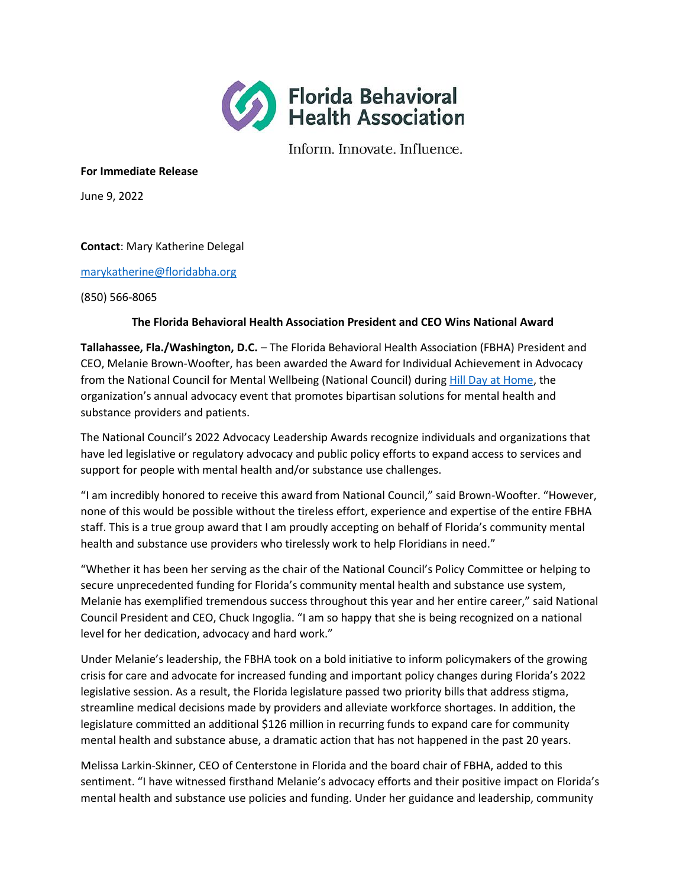

Inform. Innovate. Influence.

### **For Immediate Release**

June 9, 2022

# **Contact**: Mary Katherine Delegal

## [marykatherine@floridabha.org](mailto:marykatherine@floridabha.org)

(850) 566-8065

# **The Florida Behavioral Health Association President and CEO Wins National Award**

**Tallahassee, Fla./Washington, D.C.** – The Florida Behavioral Health Association (FBHA) President and CEO, Melanie Brown-Woofter, has been awarded the Award for Individual Achievement in Advocacy from the National Council for Mental Wellbeing (National Council) during [Hill Day at Home,](https://www.eventscribe.net/2022/HillDayatHome/) the organization's annual advocacy event that promotes bipartisan solutions for mental health and substance providers and patients.

The National Council's 2022 Advocacy Leadership Awards recognize individuals and organizations that have led legislative or regulatory advocacy and public policy efforts to expand access to services and support for people with mental health and/or substance use challenges.

"I am incredibly honored to receive this award from National Council," said Brown-Woofter. "However, none of this would be possible without the tireless effort, experience and expertise of the entire FBHA staff. This is a true group award that I am proudly accepting on behalf of Florida's community mental health and substance use providers who tirelessly work to help Floridians in need."

"Whether it has been her serving as the chair of the National Council's Policy Committee or helping to secure unprecedented funding for Florida's community mental health and substance use system, Melanie has exemplified tremendous success throughout this year and her entire career," said National Council President and CEO, Chuck Ingoglia. "I am so happy that she is being recognized on a national level for her dedication, advocacy and hard work."

Under Melanie's leadership, the FBHA took on a bold initiative to inform policymakers of the growing crisis for care and advocate for increased funding and important policy changes during Florida's 2022 legislative session. As a result, the Florida legislature passed two priority bills that address stigma, streamline medical decisions made by providers and alleviate workforce shortages. In addition, the legislature committed an additional \$126 million in recurring funds to expand care for community mental health and substance abuse, a dramatic action that has not happened in the past 20 years.

Melissa Larkin-Skinner, CEO of Centerstone in Florida and the board chair of FBHA, added to this sentiment. "I have witnessed firsthand Melanie's advocacy efforts and their positive impact on Florida's mental health and substance use policies and funding. Under her guidance and leadership, community